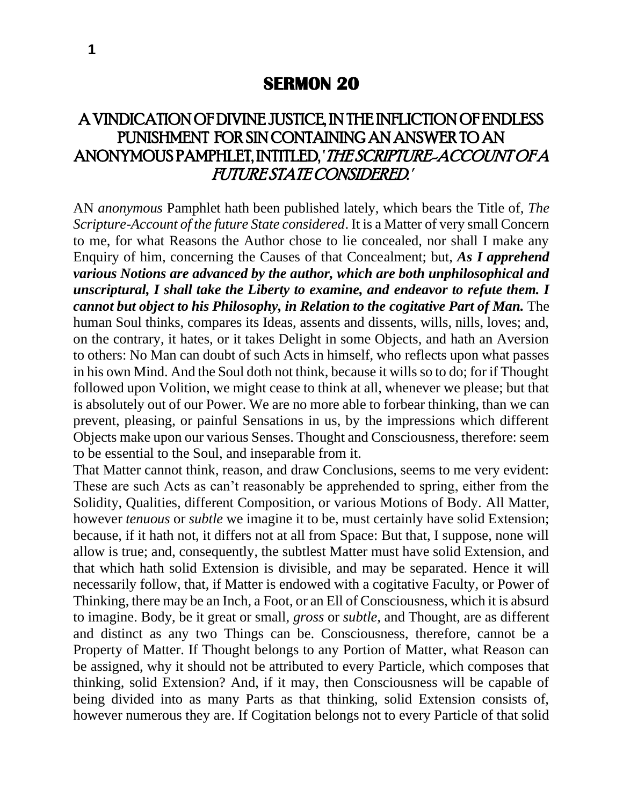## **SERMON 20**

## A VINDICATION OF DIVINE JUSTICE, IN THE INFLICTION OF ENDLESS PUNISHMENT FOR SIN CONTAINING AN ANSWER TO AN ANONYMOUS PAMPHLET, INTITLED, 'THE SCRIPTURE-ACCOUNT OF A FUTURE STATE CONSIDERED.'

AN *anonymous* Pamphlet hath been published lately, which bears the Title of, *The Scripture-Account of the future State considered*. It is a Matter of very small Concern to me, for what Reasons the Author chose to lie concealed, nor shall I make any Enquiry of him, concerning the Causes of that Concealment; but, *As I apprehend various Notions are advanced by the author, which are both unphilosophical and unscriptural, I shall take the Liberty to examine, and endeavor to refute them. I cannot but object to his Philosophy, in Relation to the cogitative Part of Man.* The human Soul thinks, compares its Ideas, assents and dissents, wills, nills, loves; and, on the contrary, it hates, or it takes Delight in some Objects, and hath an Aversion to others: No Man can doubt of such Acts in himself, who reflects upon what passes in his own Mind. And the Soul doth not think, because it wills so to do; for if Thought followed upon Volition, we might cease to think at all, whenever we please; but that is absolutely out of our Power. We are no more able to forbear thinking, than we can prevent, pleasing, or painful Sensations in us, by the impressions which different Objects make upon our various Senses. Thought and Consciousness, therefore: seem to be essential to the Soul, and inseparable from it.

That Matter cannot think, reason, and draw Conclusions, seems to me very evident: These are such Acts as can't reasonably be apprehended to spring, either from the Solidity, Qualities, different Composition, or various Motions of Body. All Matter, however *tenuous* or *subtle* we imagine it to be, must certainly have solid Extension; because, if it hath not, it differs not at all from Space: But that, I suppose, none will allow is true; and, consequently, the subtlest Matter must have solid Extension, and that which hath solid Extension is divisible, and may be separated. Hence it will necessarily follow, that, if Matter is endowed with a cogitative Faculty, or Power of Thinking, there may be an Inch, a Foot, or an Ell of Consciousness, which it is absurd to imagine. Body, be it great or small, *gross* or *subtle,* and Thought, are as different and distinct as any two Things can be. Consciousness, therefore, cannot be a Property of Matter. If Thought belongs to any Portion of Matter, what Reason can be assigned, why it should not be attributed to every Particle, which composes that thinking, solid Extension? And, if it may, then Consciousness will be capable of being divided into as many Parts as that thinking, solid Extension consists of, however numerous they are. If Cogitation belongs not to every Particle of that solid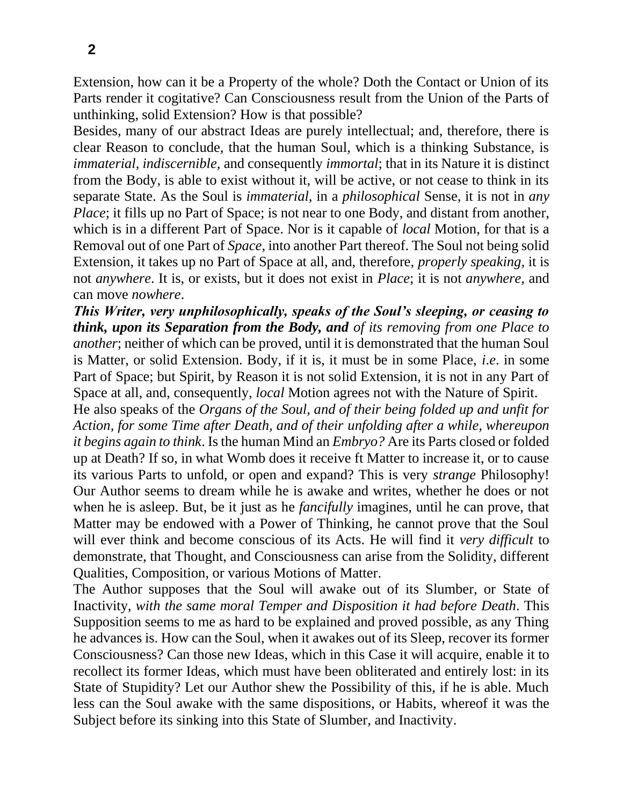Extension, how can it be a Property of the whole? Doth the Contact or Union of its Parts render it cogitative? Can Consciousness result from the Union of the Parts of unthinking, solid Extension? How is that possible?

Besides, many of our abstract Ideas are purely intellectual; and, therefore, there is clear Reason to conclude, that the human Soul, which is a thinking Substance, is *immaterial, indiscernible,* and consequently *immortal*; that in its Nature it is distinct from the Body, is able to exist without it, will be active, or not cease to think in its separate State. As the Soul is *immaterial,* in a *philosophical* Sense, it is not in *any Place*; it fills up no Part of Space; is not near to one Body, and distant from another, which is in a different Part of Space. Nor is it capable of *local* Motion, for that is a Removal out of one Part of *Space,* into another Part thereof. The Soul not being solid Extension, it takes up no Part of Space at all, and, therefore, *properly speaking,* it is not *anywhere*. It is, or exists, but it does not exist in *Place*; it is not *anywhere,* and can move *nowhere*.

*This Writer, very unphilosophically, speaks of the Soul's sleeping, or ceasing to think, upon its Separation from the Body, and of its removing from one Place to another*; neither of which can be proved, until it is demonstrated that the human Soul is Matter, or solid Extension. Body, if it is, it must be in some Place, *i*.*e*. in some Part of Space; but Spirit, by Reason it is not solid Extension, it is not in any Part of Space at all, and, consequently, *local* Motion agrees not with the Nature of Spirit.

He also speaks of the *Organs of the Soul, and of their being folded up and unfit for Action, for some Time after Death, and of their unfolding after a while, whereupon it begins again to think*. Is the human Mind an *Embryo?* Are its Parts closed or folded up at Death? If so, in what Womb does it receive ft Matter to increase it, or to cause its various Parts to unfold, or open and expand? This is very *strange* Philosophy! Our Author seems to dream while he is awake and writes, whether he does or not when he is asleep. But, be it just as he *fancifully* imagines, until he can prove, that Matter may be endowed with a Power of Thinking, he cannot prove that the Soul will ever think and become conscious of its Acts. He will find it *very difficult* to demonstrate, that Thought, and Consciousness can arise from the Solidity, different Qualities, Composition, or various Motions of Matter.

The Author supposes that the Soul will awake out of its Slumber, or State of Inactivity, *with the same moral Temper and Disposition it had before Death*. This Supposition seems to me as hard to be explained and proved possible, as any Thing he advances is. How can the Soul, when it awakes out of its Sleep, recover its former Consciousness? Can those new Ideas, which in this Case it will acquire, enable it to recollect its former Ideas, which must have been obliterated and entirely lost: in its State of Stupidity? Let our Author shew the Possibility of this, if he is able. Much less can the Soul awake with the same dispositions, or Habits, whereof it was the Subject before its sinking into this State of Slumber, and Inactivity.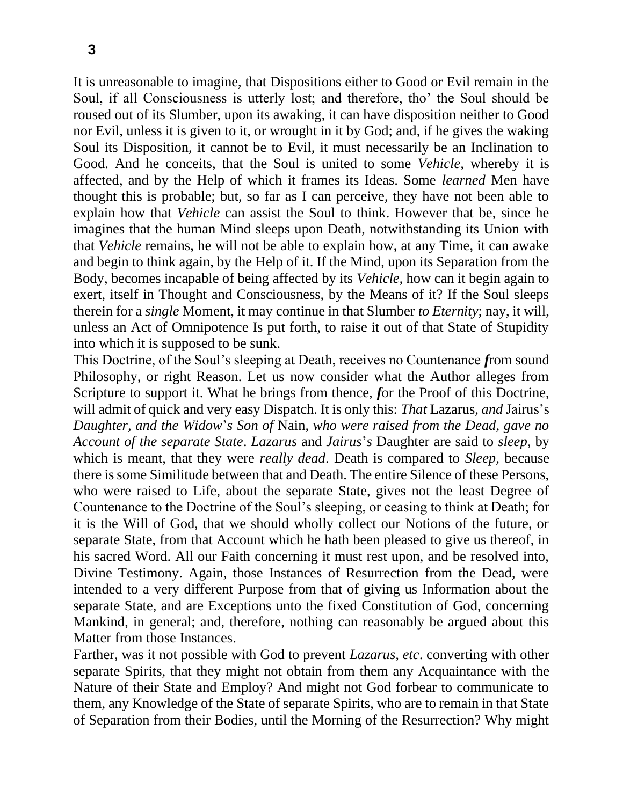It is unreasonable to imagine, that Dispositions either to Good or Evil remain in the Soul, if all Consciousness is utterly lost; and therefore, tho' the Soul should be roused out of its Slumber, upon its awaking, it can have disposition neither to Good nor Evil, unless it is given to it, or wrought in it by God; and, if he gives the waking Soul its Disposition, it cannot be to Evil, it must necessarily be an Inclination to Good. And he conceits, that the Soul is united to some *Vehicle,* whereby it is affected, and by the Help of which it frames its Ideas. Some *learned* Men have thought this is probable; but, so far as I can perceive, they have not been able to explain how that *Vehicle* can assist the Soul to think. However that be, since he imagines that the human Mind sleeps upon Death, notwithstanding its Union with that *Vehicle* remains, he will not be able to explain how, at any Time, it can awake and begin to think again, by the Help of it. If the Mind, upon its Separation from the Body, becomes incapable of being affected by its *Vehicle,* how can it begin again to exert, itself in Thought and Consciousness, by the Means of it? If the Soul sleeps therein for a *single* Moment, it may continue in that Slumber *to Eternity*; nay, it will, unless an Act of Omnipotence Is put forth, to raise it out of that State of Stupidity into which it is supposed to be sunk.

This Doctrine, of the Soul's sleeping at Death, receives no Countenance *f*rom sound Philosophy, or right Reason. Let us now consider what the Author alleges from Scripture to support it. What he brings from thence, *f*or the Proof of this Doctrine, will admit of quick and very easy Dispatch. It is only this: *That* Lazarus, *and* Jairus's *Daughter, and the Widow*'*s Son of* Nain, *who were raised from the Dead, gave no Account of the separate State*. *Lazarus* and *Jairus*'*s* Daughter are said to *sleep*, by which is meant, that they were *really dead*. Death is compared to *Sleep,* because there is some Similitude between that and Death. The entire Silence of these Persons, who were raised to Life, about the separate State, gives not the least Degree of Countenance to the Doctrine of the Soul's sleeping, or ceasing to think at Death; for it is the Will of God, that we should wholly collect our Notions of the future, or separate State, from that Account which he hath been pleased to give us thereof, in his sacred Word. All our Faith concerning it must rest upon, and be resolved into, Divine Testimony. Again, those Instances of Resurrection from the Dead, were intended to a very different Purpose from that of giving us Information about the separate State, and are Exceptions unto the fixed Constitution of God, concerning Mankind, in general; and, therefore, nothing can reasonably be argued about this Matter from those Instances.

Farther, was it not possible with God to prevent *Lazarus, etc*. converting with other separate Spirits, that they might not obtain from them any Acquaintance with the Nature of their State and Employ? And might not God forbear to communicate to them, any Knowledge of the State of separate Spirits, who are to remain in that State of Separation from their Bodies, until the Morning of the Resurrection? Why might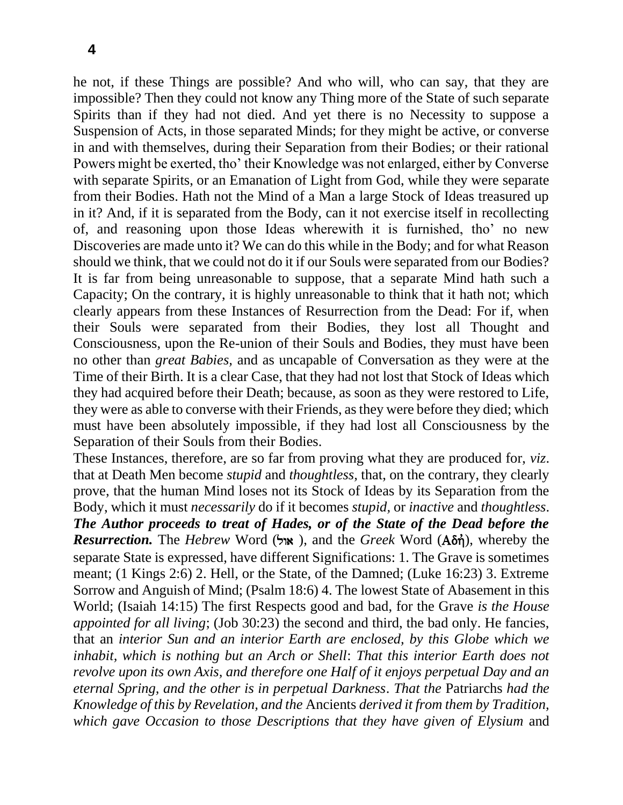he not, if these Things are possible? And who will, who can say, that they are impossible? Then they could not know any Thing more of the State of such separate Spirits than if they had not died. And yet there is no Necessity to suppose a Suspension of Acts, in those separated Minds; for they might be active, or converse in and with themselves, during their Separation from their Bodies; or their rational Powers might be exerted, tho' their Knowledge was not enlarged, either by Converse with separate Spirits, or an Emanation of Light from God, while they were separate from their Bodies. Hath not the Mind of a Man a large Stock of Ideas treasured up in it? And, if it is separated from the Body, can it not exercise itself in recollecting of, and reasoning upon those Ideas wherewith it is furnished, tho' no new Discoveries are made unto it? We can do this while in the Body; and for what Reason should we think, that we could not do it if our Souls were separated from our Bodies? It is far from being unreasonable to suppose, that a separate Mind hath such a Capacity; On the contrary, it is highly unreasonable to think that it hath not; which clearly appears from these Instances of Resurrection from the Dead: For if, when their Souls were separated from their Bodies, they lost all Thought and Consciousness, upon the Re-union of their Souls and Bodies, they must have been no other than *great Babies,* and as uncapable of Conversation as they were at the Time of their Birth. It is a clear Case, that they had not lost that Stock of Ideas which they had acquired before their Death; because, as soon as they were restored to Life, they were as able to converse with their Friends, as they were before they died; which must have been absolutely impossible, if they had lost all Consciousness by the Separation of their Souls from their Bodies.

These Instances, therefore, are so far from proving what they are produced for, *viz*. that at Death Men become *stupid* and *thoughtless,* that, on the contrary, they clearly prove, that the human Mind loses not its Stock of Ideas by its Separation from the Body, which it must *necessarily* do if it becomes *stupid,* or *inactive* and *thoughtless*. *The Author proceeds to treat of Hades, or of the State of the Dead before the Resurrection.* The *Hebrew* Word (אול), and the *Greek* Word (A $\delta \dot{\eta}$ ), whereby the separate State is expressed, have different Significations: 1. The Grave is sometimes meant; (1 Kings 2:6) 2. Hell, or the State, of the Damned; (Luke 16:23) 3. Extreme Sorrow and Anguish of Mind; (Psalm 18:6) 4. The lowest State of Abasement in this World; (Isaiah 14:15) The first Respects good and bad, for the Grave *is the House appointed for all living*; (Job 30:23) the second and third, the bad only. He fancies, that an *interior Sun and an interior Earth are enclosed, by this Globe which we inhabit, which is nothing but an Arch or Shell*: *That this interior Earth does not revolve upon its own Axis, and therefore one Half of it enjoys perpetual Day and an eternal Spring, and the other is in perpetual Darkness*. *That the* Patriarchs *had the Knowledge of this by Revelation, and the* Ancients *derived it from them by Tradition, which gave Occasion to those Descriptions that they have given of Elysium* and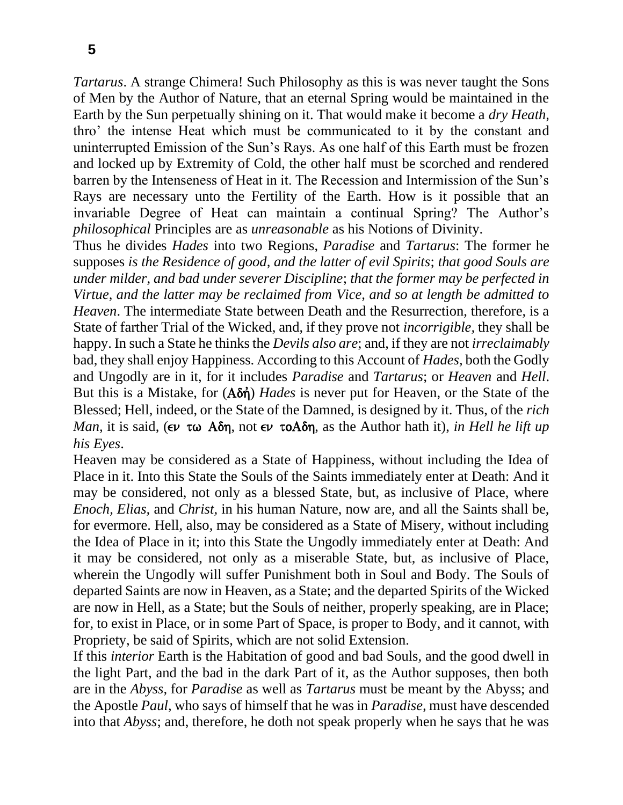*Tartarus*. A strange Chimera! Such Philosophy as this is was never taught the Sons of Men by the Author of Nature, that an eternal Spring would be maintained in the Earth by the Sun perpetually shining on it. That would make it become a *dry Heath,*  thro' the intense Heat which must be communicated to it by the constant and uninterrupted Emission of the Sun's Rays. As one half of this Earth must be frozen and locked up by Extremity of Cold, the other half must be scorched and rendered barren by the Intenseness of Heat in it. The Recession and Intermission of the Sun's Rays are necessary unto the Fertility of the Earth. How is it possible that an invariable Degree of Heat can maintain a continual Spring? The Author's *philosophical* Principles are as *unreasonable* as his Notions of Divinity.

Thus he divides *Hades* into two Regions, *Paradise* and *Tartarus*: The former he supposes *is the Residence of good, and the latter of evil Spirits*; *that good Souls are under milder, and bad under severer Discipline*; *that the former may be perfected in Virtue, and the latter may be reclaimed from Vice, and so at length be admitted to Heaven*. The intermediate State between Death and the Resurrection, therefore, is a State of farther Trial of the Wicked, and, if they prove not *incorrigible,* they shall be happy. In such a State he thinks the *Devils also are*; and, if they are not *irreclaimably*  bad, they shall enjoy Happiness. According to this Account of *Hades,* both the Godly and Ungodly are in it, for it includes *Paradise* and *Tartarus*; or *Heaven* and *Hell*. But this is a Mistake, for (**Aδή**) *Hades* is never put for Heaven, or the State of the Blessed; Hell, indeed, or the State of the Damned, is designed by it. Thus, of the *rich Man,* it is said,  $(\epsilon \nu \tau \omega A\delta \eta)$ , not  $\epsilon \nu \tau \omega A\delta \eta$ , as the Author hath it), *in Hell he lift up his Eyes*.

Heaven may be considered as a State of Happiness, without including the Idea of Place in it. Into this State the Souls of the Saints immediately enter at Death: And it may be considered, not only as a blessed State, but, as inclusive of Place, where *Enoch, Elias,* and *Christ,* in his human Nature, now are, and all the Saints shall be, for evermore. Hell, also, may be considered as a State of Misery, without including the Idea of Place in it; into this State the Ungodly immediately enter at Death: And it may be considered, not only as a miserable State, but, as inclusive of Place, wherein the Ungodly will suffer Punishment both in Soul and Body. The Souls of departed Saints are now in Heaven, as a State; and the departed Spirits of the Wicked are now in Hell, as a State; but the Souls of neither, properly speaking, are in Place; for, to exist in Place, or in some Part of Space, is proper to Body, and it cannot, with Propriety, be said of Spirits, which are not solid Extension.

If this *interior* Earth is the Habitation of good and bad Souls, and the good dwell in the light Part, and the bad in the dark Part of it, as the Author supposes, then both are in the *Abyss,* for *Paradise* as well as *Tartarus* must be meant by the Abyss; and the Apostle *Paul,* who says of himself that he was in *Paradise,* must have descended into that *Abyss*; and, therefore, he doth not speak properly when he says that he was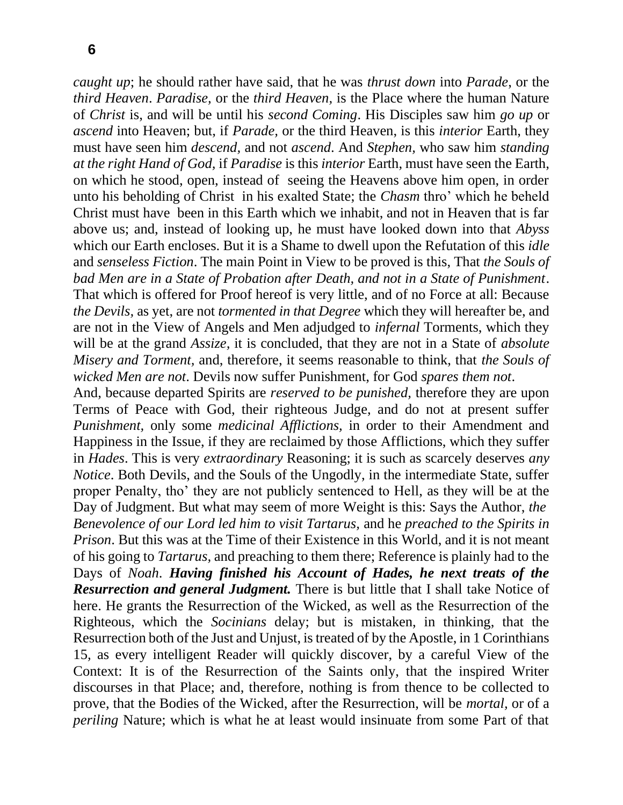*caught up*; he should rather have said, that he was *thrust down* into *Parade*, or the *third Heaven*. *Paradise,* or the *third Heaven,* is the Place where the human Nature of *Christ* is, and will be until his *second Coming*. His Disciples saw him *go up* or *ascend* into Heaven; but, if *Parade,* or the third Heaven, is this *interior* Earth, they must have seen him *descend,* and not *ascend*. And *Stephen,* who saw him *standing at the right Hand of God,* if *Paradise* is this *interior* Earth, must have seen the Earth, on which he stood, open, instead of seeing the Heavens above him open, in order unto his beholding of Christ in his exalted State; the *Chasm* thro' which he beheld Christ must have been in this Earth which we inhabit, and not in Heaven that is far above us; and, instead of looking up, he must have looked down into that *Abyss*  which our Earth encloses. But it is a Shame to dwell upon the Refutation of this *idle*  and *senseless Fiction*. The main Point in View to be proved is this, That *the Souls of bad Men are in a State of Probation after Death, and not in a State of Punishment*. That which is offered for Proof hereof is very little, and of no Force at all: Because *the Devils,* as yet, are not *tormented in that Degree* which they will hereafter be, and are not in the View of Angels and Men adjudged to *infernal* Torments, which they will be at the grand *Assize,* it is concluded, that they are not in a State of *absolute Misery and Torment,* and, therefore, it seems reasonable to think, that *the Souls of wicked Men are not*. Devils now suffer Punishment, for God *spares them not*.

And, because departed Spirits are *reserved to be punished,* therefore they are upon Terms of Peace with God, their righteous Judge, and do not at present suffer *Punishment,* only some *medicinal Afflictions,* in order to their Amendment and Happiness in the Issue, if they are reclaimed by those Afflictions, which they suffer in *Hades*. This is very *extraordinary* Reasoning; it is such as scarcely deserves *any Notice*. Both Devils, and the Souls of the Ungodly, in the intermediate State, suffer proper Penalty, tho' they are not publicly sentenced to Hell, as they will be at the Day of Judgment. But what may seem of more Weight is this: Says the Author, *the Benevolence of our Lord led him to visit Tartarus,* and he *preached to the Spirits in Prison*. But this was at the Time of their Existence in this World, and it is not meant of his going to *Tartarus,* and preaching to them there; Reference is plainly had to the Days of *Noah*. *Having finished his Account of Hades, he next treats of the Resurrection and general Judgment.* There is but little that I shall take Notice of here. He grants the Resurrection of the Wicked, as well as the Resurrection of the Righteous, which the *Socinians* delay; but is mistaken, in thinking, that the Resurrection both of the Just and Unjust, is treated of by the Apostle, in 1 Corinthians 15*,* as every intelligent Reader will quickly discover, by a careful View of the Context: It is of the Resurrection of the Saints only, that the inspired Writer discourses in that Place; and, therefore, nothing is from thence to be collected to prove, that the Bodies of the Wicked, after the Resurrection, will be *mortal,* or of a *periling* Nature; which is what he at least would insinuate from some Part of that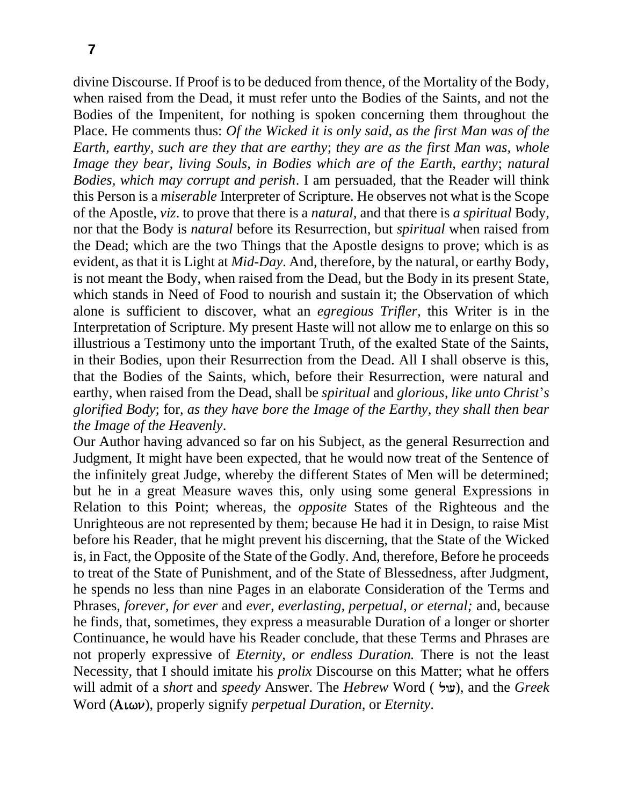divine Discourse. If Proof is to be deduced from thence, of the Mortality of the Body, when raised from the Dead, it must refer unto the Bodies of the Saints, and not the Bodies of the Impenitent, for nothing is spoken concerning them throughout the Place. He comments thus: *Of the Wicked it is only said, as the first Man was of the Earth, earthy, such are they that are earthy*; *they are as the first Man was, whole Image they bear, living Souls, in Bodies which are of the Earth, earthy*; *natural Bodies, which may corrupt and perish*. I am persuaded, that the Reader will think this Person is a *miserable* Interpreter of Scripture. He observes not what is the Scope of the Apostle, *viz*. to prove that there is a *natural,* and that there is *a spiritual* Body, nor that the Body is *natural* before its Resurrection, but *spiritual* when raised from the Dead; which are the two Things that the Apostle designs to prove; which is as evident, as that it is Light at *Mid-Day*. And, therefore, by the natural, or earthy Body, is not meant the Body, when raised from the Dead, but the Body in its present State, which stands in Need of Food to nourish and sustain it; the Observation of which alone is sufficient to discover, what an *egregious Trifler,* this Writer is in the Interpretation of Scripture. My present Haste will not allow me to enlarge on this so illustrious a Testimony unto the important Truth, of the exalted State of the Saints, in their Bodies, upon their Resurrection from the Dead. All I shall observe is this, that the Bodies of the Saints, which, before their Resurrection, were natural and earthy, when raised from the Dead, shall be *spiritual* and *glorious, like unto Christ*'*s glorified Body*; for, *as they have bore the Image of the Earthy, they shall then bear the Image of the Heavenly*.

Our Author having advanced so far on his Subject, as the general Resurrection and Judgment, It might have been expected, that he would now treat of the Sentence of the infinitely great Judge, whereby the different States of Men will be determined; but he in a great Measure waves this, only using some general Expressions in Relation to this Point; whereas, the *opposite* States of the Righteous and the Unrighteous are not represented by them; because He had it in Design, to raise Mist before his Reader, that he might prevent his discerning, that the State of the Wicked is, in Fact, the Opposite of the State of the Godly. And, therefore, Before he proceeds to treat of the State of Punishment, and of the State of Blessedness, after Judgment, he spends no less than nine Pages in an elaborate Consideration of the Terms and Phrases, *forever, for ever* and *ever, everlasting, perpetual, or eternal;* and, because he finds, that, sometimes, they express a measurable Duration of a longer or shorter Continuance, he would have his Reader conclude, that these Terms and Phrases are not properly expressive of *Eternity, or endless Duration.* There is not the least Necessity, that I should imitate his *prolix* Discourse on this Matter; what he offers will admit of a *short* and *speedy* Answer. The *Hebrew* Word ( $|$ עול), and the *Greek* Word (Aιων), properly signify *perpetual Duration*, or *Eternity*.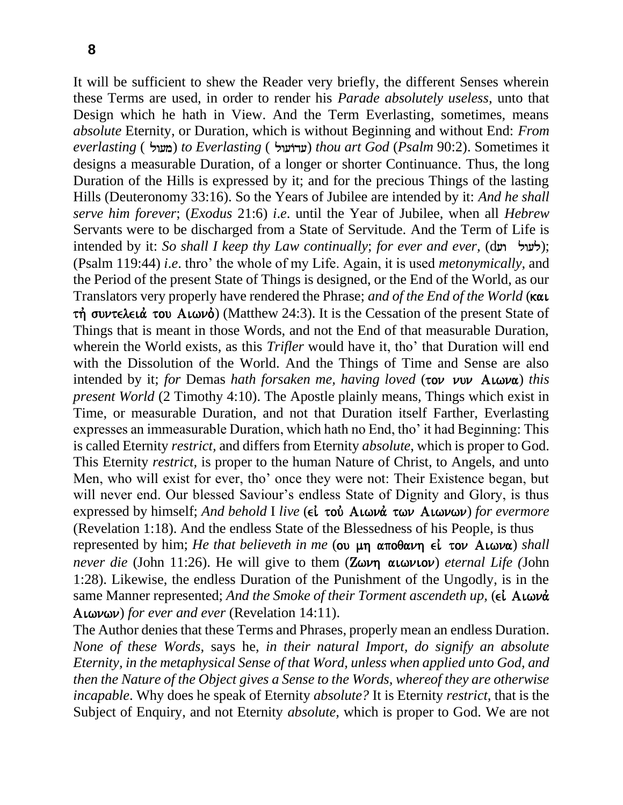It will be sufficient to shew the Reader very briefly, the different Senses wherein these Terms are used, in order to render his *Parade absolutely useless,* unto that Design which he hath in View. And the Term Everlasting, sometimes, means *absolute* Eternity, or Duration, which is without Beginning and without End: *From everlasting* (µlw[m) *to Everlasting* (µlw[Ad[) *thou art God* (*Psalm* 90:2). Sometimes it designs a measurable Duration, of a longer or shorter Continuance. Thus, the long Duration of the Hills is expressed by it; and for the precious Things of the lasting Hills (Deuteronomy 33:16). So the Years of Jubilee are intended by it: *And he shall serve him forever*; (*Exodus* 21:6) *i*.*e*. until the Year of Jubilee, when all *Hebrew*  Servants were to be discharged from a State of Servitude. And the Term of Life is  $i$ (לעול  $i$ : *So shall I keep thy Law continually; for ever and ever, (dy')*; (Psalm 119:44) *i*.*e*. thro' the whole of my Life. Again, it is used *metonymically,* and the Period of the present State of Things is designed, or the End of the World, as our Translators very properly have rendered the Phrase; *and of the End of the World* (kai  $\tau$ n συντελειά του Αιωνό) (Matthew 24:3). It is the Cessation of the present State of Things that is meant in those Words, and not the End of that measurable Duration, wherein the World exists, as this *Trifler* would have it, tho' that Duration will end with the Dissolution of the World. And the Things of Time and Sense are also intended by it; *for* Demas *hath forsaken me, having loved* (τον νυν Αιωνα) *this present World* (2 Timothy 4:10). The Apostle plainly means, Things which exist in Time, or measurable Duration, and not that Duration itself Farther, Everlasting expresses an immeasurable Duration, which hath no End, tho' it had Beginning: This is called Eternity *restrict,* and differs from Eternity *absolute*, which is proper to God. This Eternity *restrict,* is proper to the human Nature of Christ, to Angels, and unto Men, who will exist for ever, tho' once they were not: Their Existence began, but will never end. Our blessed Saviour's endless State of Dignity and Glory, is thus expressed by himself; *And behold I live* (**εί τού Αιωνά των Αιωνων**) *for evermore* (Revelation 1:18). And the endless State of the Blessedness of his People, is thus represented by him; *He that believeth in me* (ou μη αποθανη εί τον Αιωνα) *shall never die* (John 11:26). He will give to them (Zwvn  $\alpha$ ιωνιον) *eternal Life* (John 1:28). Likewise, the endless Duration of the Punishment of the Ungodly, is in the same Manner represented; *And the Smoke of their Torment ascendeth up*, ( $\epsilon \mathbf{i}$  Aιωνά Aiwnwn) *for ever and ever* (Revelation 14:11).

The Author denies that these Terms and Phrases, properly mean an endless Duration. *None of these Words,* says he, *in their natural Import, do signify an absolute Eternity, in the metaphysical Sense of that Word, unless when applied unto God, and then the Nature of the Object gives a Sense to the Words, whereof they are otherwise incapable*. Why does he speak of Eternity *absolute?* It is Eternity *restrict,* that is the Subject of Enquiry, and not Eternity *absolute,* which is proper to God. We are not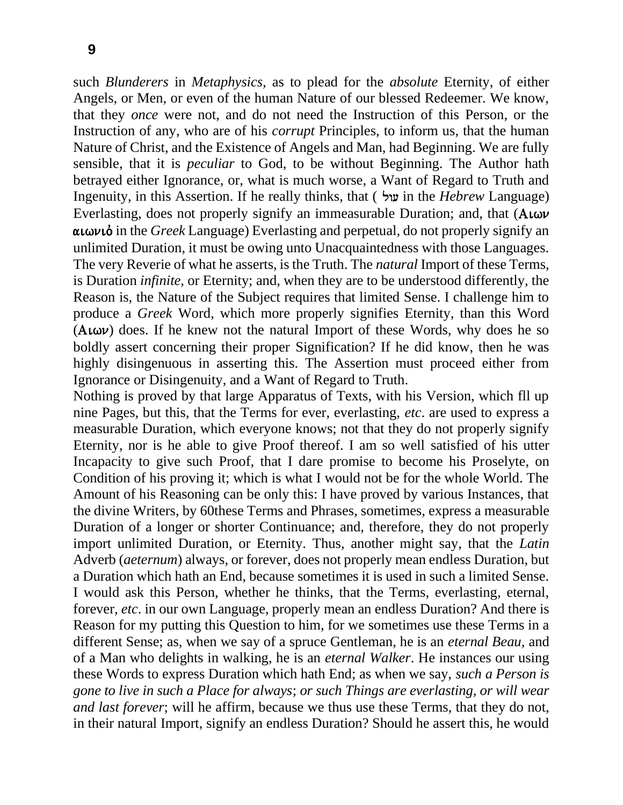such *Blunderers* in *Metaphysics,* as to plead for the *absolute* Eternity, of either Angels, or Men, or even of the human Nature of our blessed Redeemer. We know, that they *once* were not, and do not need the Instruction of this Person, or the Instruction of any, who are of his *corrupt* Principles, to inform us, that the human Nature of Christ, and the Existence of Angels and Man, had Beginning. We are fully sensible, that it is *peculiar* to God, to be without Beginning. The Author hath betrayed either Ignorance, or, what is much worse, a Want of Regard to Truth and Ingenuity, in this Assertion. If he really thinks, that (µlw[ in the *Hebrew* Language) Everlasting, does not properly signify an immeasurable Duration; and, that  $(A \cup \mathcal{V})$ atwu<sub>t</sub> in the *Greek* Language) Everlasting and perpetual, do not properly signify an unlimited Duration, it must be owing unto Unacquaintedness with those Languages. The very Reverie of what he asserts, is the Truth. The *natural* Import of these Terms, is Duration *infinite,* or Eternity; and, when they are to be understood differently, the Reason is, the Nature of the Subject requires that limited Sense. I challenge him to produce a *Greek* Word, which more properly signifies Eternity, than this Word  $(A \cup \cup)$  does. If he knew not the natural Import of these Words, why does he so boldly assert concerning their proper Signification? If he did know, then he was highly disingenuous in asserting this. The Assertion must proceed either from Ignorance or Disingenuity, and a Want of Regard to Truth.

Nothing is proved by that large Apparatus of Texts, with his Version, which fll up nine Pages, but this, that the Terms for ever, everlasting, *etc*. are used to express a measurable Duration, which everyone knows; not that they do not properly signify Eternity, nor is he able to give Proof thereof. I am so well satisfied of his utter Incapacity to give such Proof, that I dare promise to become his Proselyte, on Condition of his proving it; which is what I would not be for the whole World. The Amount of his Reasoning can be only this: I have proved by various Instances, that the divine Writers, by 60these Terms and Phrases, sometimes, express a measurable Duration of a longer or shorter Continuance; and, therefore, they do not properly import unlimited Duration, or Eternity. Thus, another might say, that the *Latin*  Adverb (*aeternum*) always, or forever, does not properly mean endless Duration, but a Duration which hath an End, because sometimes it is used in such a limited Sense. I would ask this Person, whether he thinks, that the Terms, everlasting, eternal, forever, *etc*. in our own Language, properly mean an endless Duration? And there is Reason for my putting this Question to him, for we sometimes use these Terms in a different Sense; as, when we say of a spruce Gentleman, he is an *eternal Beau,* and of a Man who delights in walking, he is an *eternal Walker*. He instances our using these Words to express Duration which hath End; as when we say, *such a Person is gone to live in such a Place for always*; *or such Things are everlasting, or will wear and last forever*; will he affirm, because we thus use these Terms, that they do not, in their natural Import, signify an endless Duration? Should he assert this, he would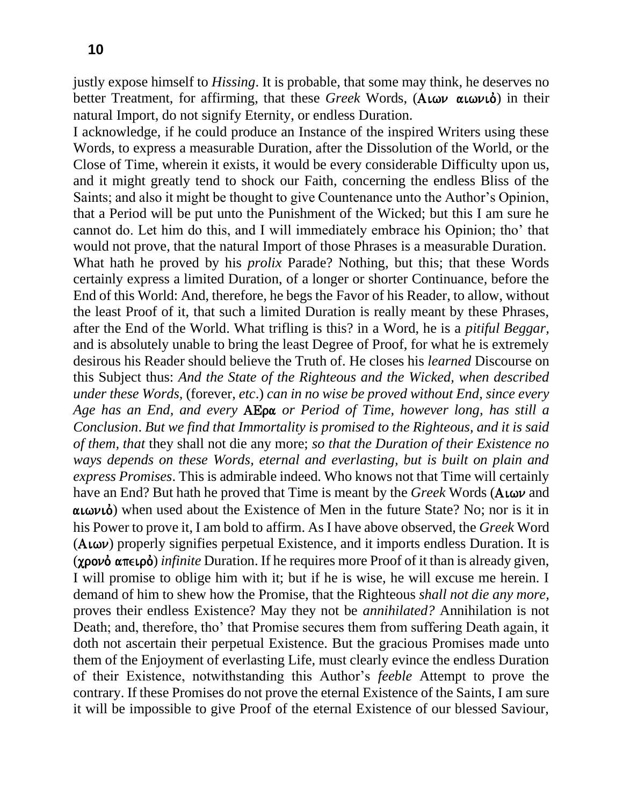justly expose himself to *Hissing*. It is probable, that some may think, he deserves no better Treatment, for affirming, that these *Greek* Words, (ALWU  $\alpha$ LWU) in their natural Import, do not signify Eternity, or endless Duration.

I acknowledge, if he could produce an Instance of the inspired Writers using these Words, to express a measurable Duration, after the Dissolution of the World, or the Close of Time, wherein it exists, it would be every considerable Difficulty upon us, and it might greatly tend to shock our Faith, concerning the endless Bliss of the Saints; and also it might be thought to give Countenance unto the Author's Opinion, that a Period will be put unto the Punishment of the Wicked; but this I am sure he cannot do. Let him do this, and I will immediately embrace his Opinion; tho' that would not prove, that the natural Import of those Phrases is a measurable Duration. What hath he proved by his *prolix* Parade? Nothing, but this; that these Words certainly express a limited Duration, of a longer or shorter Continuance, before the End of this World: And, therefore, he begs the Favor of his Reader, to allow, without the least Proof of it, that such a limited Duration is really meant by these Phrases, after the End of the World. What trifling is this? in a Word, he is a *pitiful Beggar,*  and is absolutely unable to bring the least Degree of Proof, for what he is extremely desirous his Reader should believe the Truth of. He closes his *learned* Discourse on this Subject thus: *And the State of the Righteous and the Wicked, when described under these Words,* (forever, *etc*.) *can in no wise be proved without End, since every Age has an End, and every* AEra *or Period of Time, however long, has still a Conclusion*. *But we find that Immortality is promised to the Righteous, and it is said of them, that* they shall not die any more; *so that the Duration of their Existence no ways depends on these Words, eternal and everlasting, but is built on plain and express Promises*. This is admirable indeed. Who knows not that Time will certainly have an End? But hath he proved that Time is meant by the *Greek* Words ( $A \omega \nu$  and  $\alpha\mu\omega\mu\dot{\rho}$ ) when used about the Existence of Men in the future State? No; nor is it in his Power to prove it, I am bold to affirm. As I have above observed, the *Greek* Word  $(A \cup \cup)$  properly signifies perpetual Existence, and it imports endless Duration. It is  $(\chi \rho o \nu \dot{o} \alpha \pi \epsilon \rho \dot{o})$  *infinite* Duration. If he requires more Proof of it than is already given, I will promise to oblige him with it; but if he is wise, he will excuse me herein. I demand of him to shew how the Promise, that the Righteous *shall not die any more,*  proves their endless Existence? May they not be *annihilated?* Annihilation is not Death; and, therefore, tho' that Promise secures them from suffering Death again, it doth not ascertain their perpetual Existence. But the gracious Promises made unto them of the Enjoyment of everlasting Life, must clearly evince the endless Duration of their Existence, notwithstanding this Author's *feeble* Attempt to prove the contrary. If these Promises do not prove the eternal Existence of the Saints, I am sure it will be impossible to give Proof of the eternal Existence of our blessed Saviour,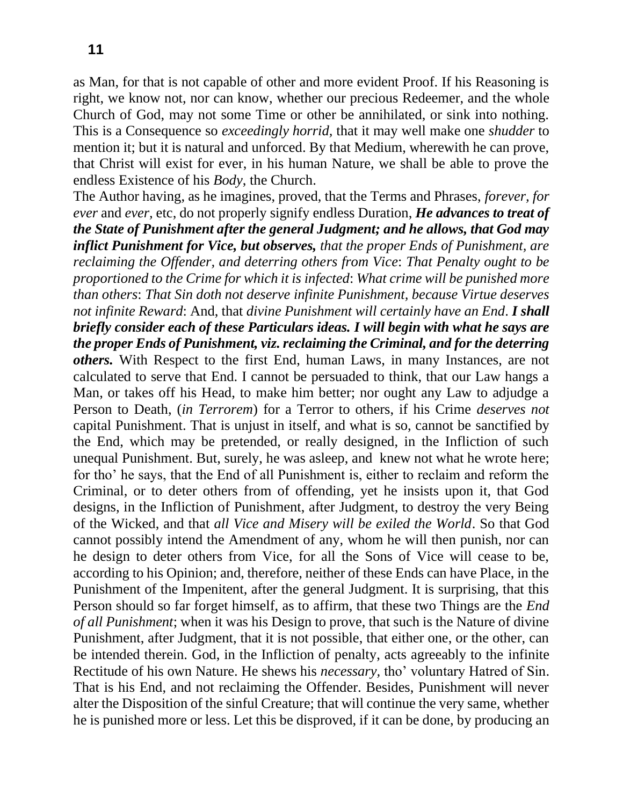as Man, for that is not capable of other and more evident Proof. If his Reasoning is right, we know not, nor can know, whether our precious Redeemer, and the whole Church of God, may not some Time or other be annihilated, or sink into nothing. This is a Consequence so *exceedingly horrid,* that it may well make one *shudder* to mention it; but it is natural and unforced. By that Medium, wherewith he can prove, that Christ will exist for ever, in his human Nature, we shall be able to prove the endless Existence of his *Body*, the Church.

The Author having, as he imagines, proved, that the Terms and Phrases, *forever, for ever* and *ever,* etc, do not properly signify endless Duration, *He advances to treat of the State of Punishment after the general Judgment; and he allows, that God may inflict Punishment for Vice, but observes, that the proper Ends of Punishment, are reclaiming the Offender, and deterring others from Vice*: *That Penalty ought to be proportioned to the Crime for which it is infected*: *What crime will be punished more than others*: *That Sin doth not deserve infinite Punishment, because Virtue deserves not infinite Reward*: And, that *divine Punishment will certainly have an End*. *I shall briefly consider each of these Particulars ideas. I will begin with what he says are the proper Ends of Punishment, viz. reclaiming the Criminal, and for the deterring others.* With Respect to the first End, human Laws, in many Instances, are not calculated to serve that End. I cannot be persuaded to think, that our Law hangs a Man, or takes off his Head, to make him better; nor ought any Law to adjudge a Person to Death, (*in Terrorem*) for a Terror to others, if his Crime *deserves not*  capital Punishment. That is unjust in itself, and what is so, cannot be sanctified by the End, which may be pretended, or really designed, in the Infliction of such unequal Punishment. But, surely, he was asleep, and knew not what he wrote here; for tho' he says, that the End of all Punishment is, either to reclaim and reform the Criminal, or to deter others from of offending, yet he insists upon it, that God designs, in the Infliction of Punishment, after Judgment, to destroy the very Being of the Wicked, and that *all Vice and Misery will be exiled the World*. So that God cannot possibly intend the Amendment of any, whom he will then punish, nor can he design to deter others from Vice, for all the Sons of Vice will cease to be, according to his Opinion; and, therefore, neither of these Ends can have Place, in the Punishment of the Impenitent, after the general Judgment. It is surprising, that this Person should so far forget himself, as to affirm, that these two Things are the *End of all Punishment*; when it was his Design to prove, that such is the Nature of divine Punishment, after Judgment, that it is not possible, that either one, or the other, can be intended therein. God, in the Infliction of penalty, acts agreeably to the infinite Rectitude of his own Nature. He shews his *necessary,* tho' voluntary Hatred of Sin. That is his End, and not reclaiming the Offender. Besides, Punishment will never alter the Disposition of the sinful Creature; that will continue the very same, whether he is punished more or less. Let this be disproved, if it can be done, by producing an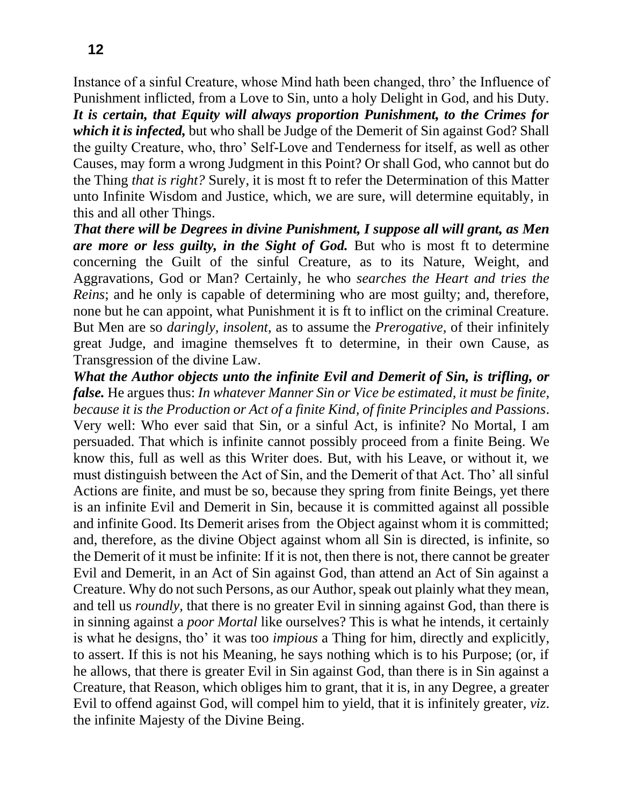Instance of a sinful Creature, whose Mind hath been changed, thro' the Influence of Punishment inflicted, from a Love to Sin, unto a holy Delight in God, and his Duty. *It is certain, that Equity will always proportion Punishment, to the Crimes for which it is infected*, but who shall be Judge of the Demerit of Sin against God? Shall the guilty Creature, who, thro' Self-Love and Tenderness for itself, as well as other Causes, may form a wrong Judgment in this Point? Or shall God, who cannot but do the Thing *that is right?* Surely, it is most ft to refer the Determination of this Matter unto Infinite Wisdom and Justice, which, we are sure, will determine equitably, in this and all other Things.

*That there will be Degrees in divine Punishment, I suppose all will grant, as Men are more or less guilty, in the Sight of God.* But who is most ft to determine concerning the Guilt of the sinful Creature, as to its Nature, Weight, and Aggravations, God or Man? Certainly, he who *searches the Heart and tries the Reins*; and he only is capable of determining who are most guilty; and, therefore, none but he can appoint, what Punishment it is ft to inflict on the criminal Creature. But Men are so *daringly, insolent,* as to assume the *Prerogative,* of their infinitely great Judge, and imagine themselves ft to determine, in their own Cause, as Transgression of the divine Law.

*What the Author objects unto the infinite Evil and Demerit of Sin, is trifling, or false.* He argues thus: *In whatever Manner Sin or Vice be estimated, it must be finite, because it is the Production or Act of a finite Kind, of finite Principles and Passions*. Very well: Who ever said that Sin, or a sinful Act, is infinite? No Mortal, I am persuaded. That which is infinite cannot possibly proceed from a finite Being. We know this, full as well as this Writer does. But, with his Leave, or without it, we must distinguish between the Act of Sin, and the Demerit of that Act. Tho' all sinful Actions are finite, and must be so, because they spring from finite Beings, yet there is an infinite Evil and Demerit in Sin, because it is committed against all possible and infinite Good. Its Demerit arises from the Object against whom it is committed; and, therefore, as the divine Object against whom all Sin is directed, is infinite, so the Demerit of it must be infinite: If it is not, then there is not, there cannot be greater Evil and Demerit, in an Act of Sin against God, than attend an Act of Sin against a Creature. Why do not such Persons, as our Author, speak out plainly what they mean, and tell us *roundly,* that there is no greater Evil in sinning against God, than there is in sinning against a *poor Mortal* like ourselves? This is what he intends, it certainly is what he designs, tho' it was too *impious* a Thing for him, directly and explicitly, to assert. If this is not his Meaning, he says nothing which is to his Purpose; (or, if he allows, that there is greater Evil in Sin against God, than there is in Sin against a Creature, that Reason, which obliges him to grant, that it is, in any Degree, a greater Evil to offend against God, will compel him to yield, that it is infinitely greater, *viz*. the infinite Majesty of the Divine Being.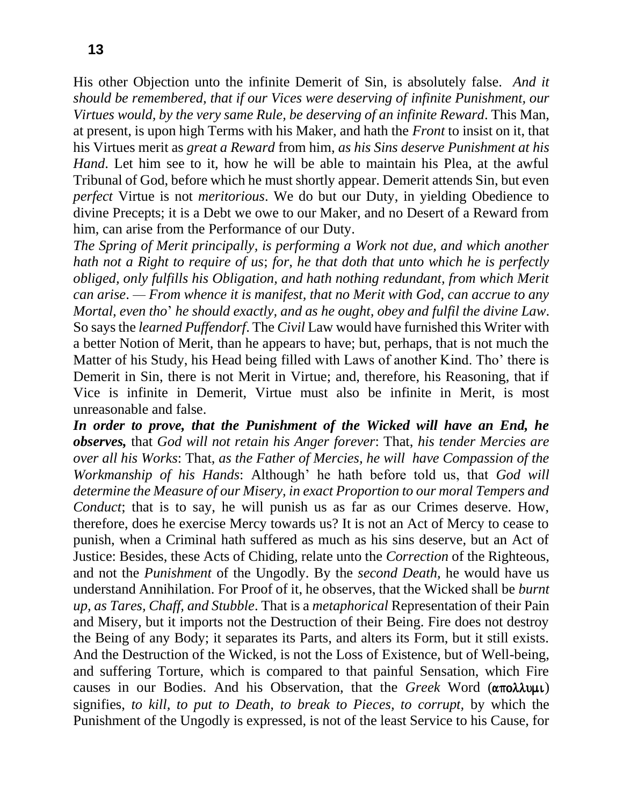His other Objection unto the infinite Demerit of Sin, is absolutely false. *And it should be remembered, that if our Vices were deserving of infinite Punishment, our Virtues would, by the very same Rule, be deserving of an infinite Reward*. This Man, at present, is upon high Terms with his Maker, and hath the *Front* to insist on it, that his Virtues merit as *great a Reward* from him, *as his Sins deserve Punishment at his Hand*. Let him see to it, how he will be able to maintain his Plea, at the awful Tribunal of God, before which he must shortly appear. Demerit attends Sin, but even *perfect* Virtue is not *meritorious*. We do but our Duty, in yielding Obedience to divine Precepts; it is a Debt we owe to our Maker, and no Desert of a Reward from him, can arise from the Performance of our Duty.

*The Spring of Merit principally, is performing a Work not due, and which another hath not a Right to require of us*; *for, he that doth that unto which he is perfectly obliged, only fulfills his Obligation, and hath nothing redundant, from which Merit can arise*. *— From whence it is manifest, that no Merit with God, can accrue to any Mortal, even tho*' *he should exactly, and as he ought, obey and fulfil the divine Law*. So says the *learned Puffendorf*. The *Civil* Law would have furnished this Writer with a better Notion of Merit, than he appears to have; but, perhaps, that is not much the Matter of his Study, his Head being filled with Laws of another Kind. Tho' there is Demerit in Sin, there is not Merit in Virtue; and, therefore, his Reasoning, that if Vice is infinite in Demerit, Virtue must also be infinite in Merit, is most unreasonable and false.

*In order to prove, that the Punishment of the Wicked will have an End, he observes,* that *God will not retain his Anger forever*: That, *his tender Mercies are over all his Works*: That, *as the Father of Mercies, he will have Compassion of the Workmanship of his Hands*: Although' he hath before told us, that *God will determine the Measure of our Misery, in exact Proportion to our moral Tempers and Conduct*; that is to say, he will punish us as far as our Crimes deserve. How, therefore, does he exercise Mercy towards us? It is not an Act of Mercy to cease to punish, when a Criminal hath suffered as much as his sins deserve, but an Act of Justice: Besides, these Acts of Chiding, relate unto the *Correction* of the Righteous, and not the *Punishment* of the Ungodly. By the *second Death,* he would have us understand Annihilation. For Proof of it, he observes, that the Wicked shall be *burnt up, as Tares, Chaff, and Stubble*. That is a *metaphorical* Representation of their Pain and Misery, but it imports not the Destruction of their Being. Fire does not destroy the Being of any Body; it separates its Parts, and alters its Form, but it still exists. And the Destruction of the Wicked, is not the Loss of Existence, but of Well-being, and suffering Torture, which is compared to that painful Sensation, which Fire causes in our Bodies. And his Observation, that the *Greek* Word  $(\alpha \pi o \lambda \lambda \nu \mu \nu)$ signifies, *to kill, to put to Death, to break to Pieces, to corrupt,* by which the Punishment of the Ungodly is expressed, is not of the least Service to his Cause, for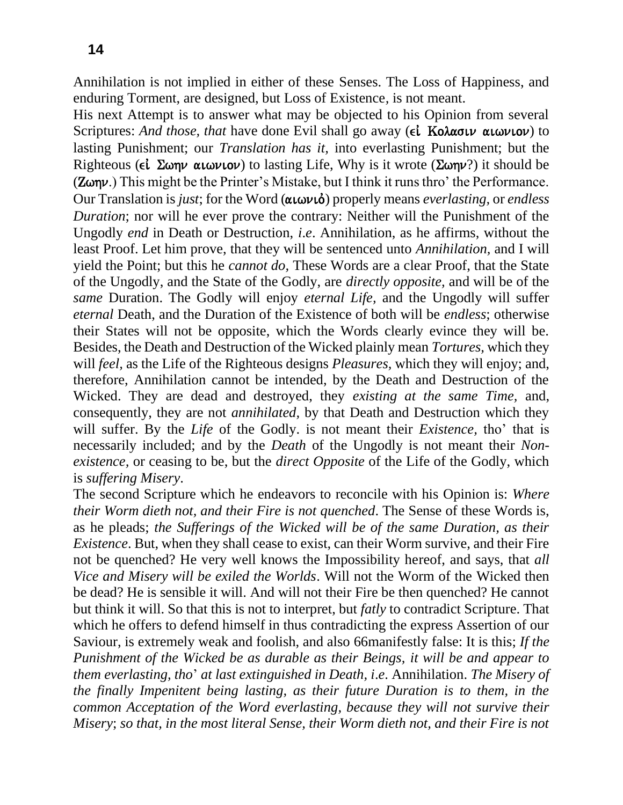Annihilation is not implied in either of these Senses. The Loss of Happiness, and enduring Torment, are designed, but Loss of Existence*,* is not meant.

His next Attempt is to answer what may be objected to his Opinion from several Scriptures: *And those, that* have done Evil shall go away ( $\epsilon \hat{i}$  Kolasur alwiou) to lasting Punishment; our *Translation has it,* into everlasting Punishment; but the Righteous ( $\epsilon \in \Sigma$ ωην αιωνιον) to lasting Life, Why is it wrote ( $\Sigma$ ωην?) it should be  $(Z\omega\eta\nu)$ .) This might be the Printer's Mistake, but I think it runs thro' the Performance. Our Translation is *just*; for the Word (**αιωνιό**) properly means *everlasting*, or *endless Duration*; nor will he ever prove the contrary: Neither will the Punishment of the Ungodly *end* in Death or Destruction, *i*.*e*. Annihilation, as he affirms, without the least Proof. Let him prove, that they will be sentenced unto *Annihilation,* and I will yield the Point; but this he *cannot do,* These Words are a clear Proof, that the State of the Ungodly, and the State of the Godly, are *directly opposite,* and will be of the *same* Duration. The Godly will enjoy *eternal Life,* and the Ungodly will suffer *eternal* Death, and the Duration of the Existence of both will be *endless*; otherwise their States will not be opposite, which the Words clearly evince they will be. Besides, the Death and Destruction of the Wicked plainly mean *Tortures,* which they will *feel,* as the Life of the Righteous designs *Pleasures,* which they will enjoy; and, therefore, Annihilation cannot be intended, by the Death and Destruction of the Wicked. They are dead and destroyed, they *existing at the same Time,* and, consequently, they are not *annihilated,* by that Death and Destruction which they will suffer. By the *Life* of the Godly. is not meant their *Existence,* tho' that is necessarily included; and by the *Death* of the Ungodly is not meant their *Nonexistence,* or ceasing to be, but the *direct Opposite* of the Life of the Godly, which is *suffering Misery*.

The second Scripture which he endeavors to reconcile with his Opinion is: *Where their Worm dieth not, and their Fire is not quenched*. The Sense of these Words is, as he pleads; *the Sufferings of the Wicked will be of the same Duration, as their Existence*. But, when they shall cease to exist, can their Worm survive, and their Fire not be quenched? He very well knows the Impossibility hereof, and says, that *all Vice and Misery will be exiled the Worlds*. Will not the Worm of the Wicked then be dead? He is sensible it will. And will not their Fire be then quenched? He cannot but think it will. So that this is not to interpret, but *fatly* to contradict Scripture. That which he offers to defend himself in thus contradicting the express Assertion of our Saviour, is extremely weak and foolish, and also 66manifestly false: It is this; *If the Punishment of the Wicked be as durable as their Beings, it will be and appear to them everlasting, tho*' *at last extinguished in Death, i*.*e*. Annihilation. *The Misery of the finally Impenitent being lasting, as their future Duration is to them, in the common Acceptation of the Word everlasting, because they will not survive their Misery*; *so that, in the most literal Sense, their Worm dieth not, and their Fire is not*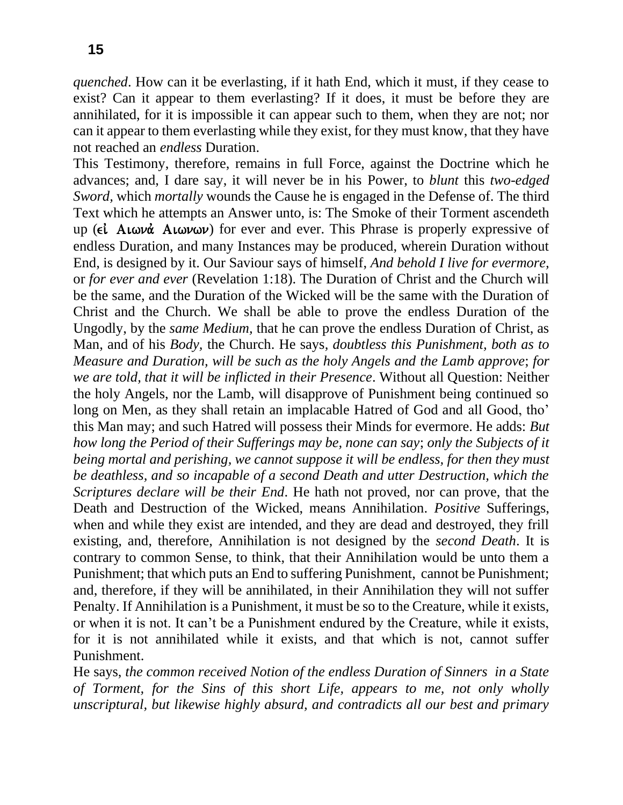*quenched*. How can it be everlasting, if it hath End, which it must, if they cease to exist? Can it appear to them everlasting? If it does, it must be before they are annihilated, for it is impossible it can appear such to them, when they are not; nor can it appear to them everlasting while they exist, for they must know, that they have not reached an *endless* Duration.

This Testimony, therefore, remains in full Force, against the Doctrine which he advances; and, I dare say, it will never be in his Power, to *blunt* this *two-edged Sword,* which *mortally* wounds the Cause he is engaged in the Defense of. The third Text which he attempts an Answer unto, is: The Smoke of their Torment ascendeth up ( $\epsilon i$  Aιωνά Aιωνων) for ever and ever. This Phrase is properly expressive of endless Duration, and many Instances may be produced, wherein Duration without End, is designed by it. Our Saviour says of himself, *And behold I live for evermore,*  or *for ever and ever* (Revelation 1:18). The Duration of Christ and the Church will be the same, and the Duration of the Wicked will be the same with the Duration of Christ and the Church. We shall be able to prove the endless Duration of the Ungodly, by the *same Medium,* that he can prove the endless Duration of Christ, as Man, and of his *Body,* the Church. He says*, doubtless this Punishment, both as to Measure and Duration, will be such as the holy Angels and the Lamb approve*; *for we are told, that it will be inflicted in their Presence*. Without all Question: Neither the holy Angels, nor the Lamb, will disapprove of Punishment being continued so long on Men, as they shall retain an implacable Hatred of God and all Good, tho' this Man may; and such Hatred will possess their Minds for evermore. He adds: *But how long the Period of their Sufferings may be, none can say*; *only the Subjects of it being mortal and perishing, we cannot suppose it will be endless, for then they must be deathless, and so incapable of a second Death and utter Destruction, which the Scriptures declare will be their End*. He hath not proved, nor can prove, that the Death and Destruction of the Wicked, means Annihilation. *Positive* Sufferings, when and while they exist are intended, and they are dead and destroyed, they frill existing, and, therefore, Annihilation is not designed by the *second Death*. It is contrary to common Sense, to think, that their Annihilation would be unto them a Punishment; that which puts an End to suffering Punishment, cannot be Punishment; and, therefore, if they will be annihilated, in their Annihilation they will not suffer Penalty. If Annihilation is a Punishment, it must be so to the Creature, while it exists, or when it is not. It can't be a Punishment endured by the Creature, while it exists, for it is not annihilated while it exists, and that which is not, cannot suffer Punishment.

He says, *the common received Notion of the endless Duration of Sinners in a State of Torment, for the Sins of this short Life, appears to me, not only wholly unscriptural, but likewise highly absurd, and contradicts all our best and primary*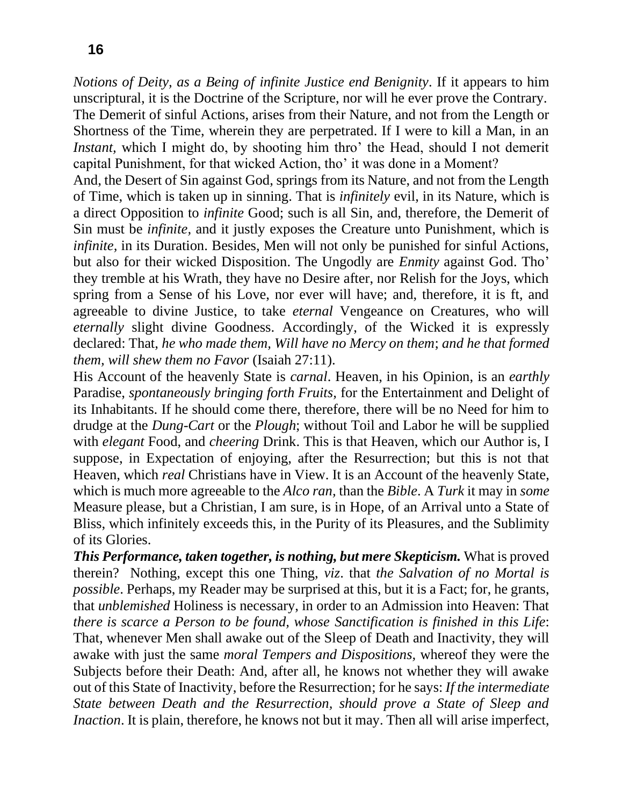**16**

*Notions of Deity, as a Being of infinite Justice end Benignity*. If it appears to him unscriptural, it is the Doctrine of the Scripture, nor will he ever prove the Contrary. The Demerit of sinful Actions, arises from their Nature, and not from the Length or Shortness of the Time, wherein they are perpetrated. If I were to kill a Man, in an *Instant*, which I might do, by shooting him thro' the Head, should I not demerit capital Punishment, for that wicked Action, tho' it was done in a Moment?

And, the Desert of Sin against God, springs from its Nature, and not from the Length of Time, which is taken up in sinning. That is *infinitely* evil, in its Nature, which is a direct Opposition to *infinite* Good; such is all Sin, and, therefore, the Demerit of Sin must be *infinite,* and it justly exposes the Creature unto Punishment, which is *infinite*, in its Duration. Besides, Men will not only be punished for sinful Actions, but also for their wicked Disposition. The Ungodly are *Enmity* against God. Tho' they tremble at his Wrath, they have no Desire after, nor Relish for the Joys, which spring from a Sense of his Love, nor ever will have; and, therefore, it is ft, and agreeable to divine Justice, to take *eternal* Vengeance on Creatures, who will *eternally* slight divine Goodness. Accordingly, of the Wicked it is expressly declared: That, *he who made them, Will have no Mercy on them*; *and he that formed them, will shew them no Favor* (Isaiah 27:11).

His Account of the heavenly State is *carnal*. Heaven, in his Opinion, is an *earthly*  Paradise, *spontaneously bringing forth Fruits,* for the Entertainment and Delight of its Inhabitants. If he should come there, therefore, there will be no Need for him to drudge at the *Dung-Cart* or the *Plough*; without Toil and Labor he will be supplied with *elegant* Food, and *cheering* Drink. This is that Heaven, which our Author is, I suppose, in Expectation of enjoying, after the Resurrection; but this is not that Heaven, which *real* Christians have in View. It is an Account of the heavenly State, which is much more agreeable to the *Alco ran,* than the *Bible*. A *Turk* it may in *some*  Measure please, but a Christian, I am sure, is in Hope, of an Arrival unto a State of Bliss, which infinitely exceeds this, in the Purity of its Pleasures, and the Sublimity of its Glories.

*This Performance, taken together, is nothing, but mere Skepticism.* What is proved therein? Nothing, except this one Thing, *viz*. that *the Salvation of no Mortal is possible*. Perhaps, my Reader may be surprised at this, but it is a Fact; for, he grants, that *unblemished* Holiness is necessary, in order to an Admission into Heaven: That *there is scarce a Person to be found, whose Sanctification is finished in this Life*: That, whenever Men shall awake out of the Sleep of Death and Inactivity, they will awake with just the same *moral Tempers and Dispositions,* whereof they were the Subjects before their Death: And, after all, he knows not whether they will awake out of this State of Inactivity, before the Resurrection; for he says: *If the intermediate State between Death and the Resurrection, should prove a State of Sleep and Inaction*. It is plain, therefore, he knows not but it may. Then all will arise imperfect,